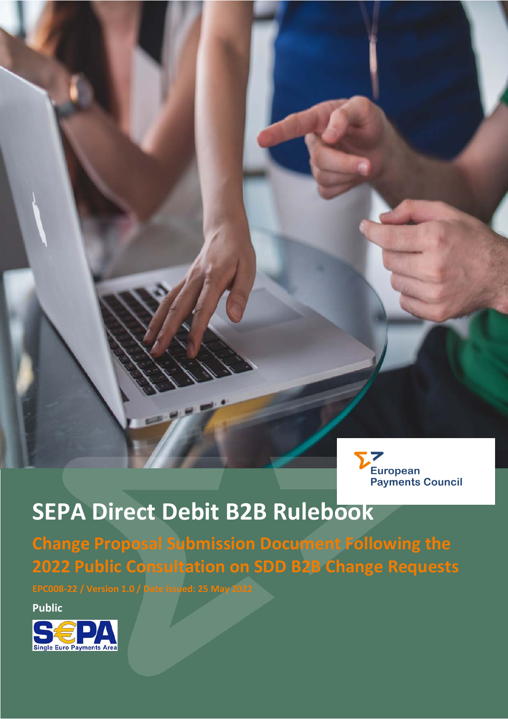

# **SEPA Direct Debit B2B Rulebook**

**Change Proposal Submission Document Following the 2022 Public Consultation on SDD B2B Change Requests**

**Public**

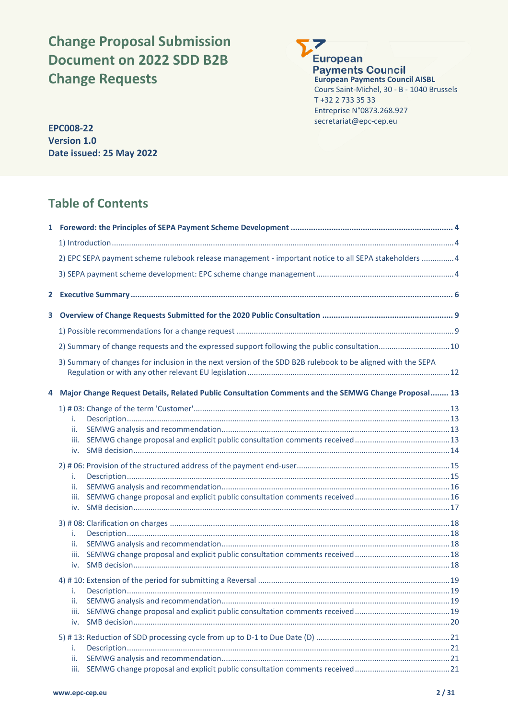# **Change Proposal Submission Document on 2022 SDD B2B Change Requests**

7 **European Payments Council European Payments Council AISBL** Cours Saint-Michel, 30 - B - 1040 Brussels T +32 2 733 35 33 Entreprise N°0873.268.927 secretariat@epc-cep.eu **EPC008-22**

**Version 1.0 Date issued: 25 May 2022**

# **Table of Contents**

| 2) EPC SEPA payment scheme rulebook release management - important notice to all SEPA stakeholders 4        |  |
|-------------------------------------------------------------------------------------------------------------|--|
|                                                                                                             |  |
|                                                                                                             |  |
|                                                                                                             |  |
|                                                                                                             |  |
| 2) Summary of change requests and the expressed support following the public consultation 10                |  |
| 3) Summary of changes for inclusion in the next version of the SDD B2B rulebook to be aligned with the SEPA |  |
| 4 Major Change Request Details, Related Public Consultation Comments and the SEMWG Change Proposal 13       |  |
|                                                                                                             |  |
| i.                                                                                                          |  |
| ii.                                                                                                         |  |
| iii.                                                                                                        |  |
|                                                                                                             |  |
| i.                                                                                                          |  |
| ii.                                                                                                         |  |
| iii.                                                                                                        |  |
| iv.                                                                                                         |  |
|                                                                                                             |  |
| i.                                                                                                          |  |
| ii.                                                                                                         |  |
| iii.                                                                                                        |  |
|                                                                                                             |  |
|                                                                                                             |  |
| i.                                                                                                          |  |
| iii.                                                                                                        |  |
| iv.                                                                                                         |  |
|                                                                                                             |  |
|                                                                                                             |  |
| i.<br>ii.                                                                                                   |  |
| iii.                                                                                                        |  |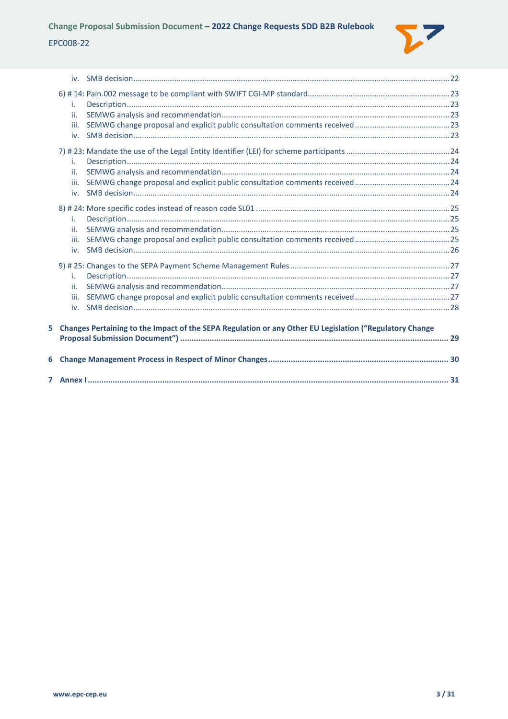

|   | i.<br>ii.<br>iii.<br>iv. |                                                                                                         |  |
|---|--------------------------|---------------------------------------------------------------------------------------------------------|--|
|   | i.<br>ii.<br>iii.<br>iv. |                                                                                                         |  |
|   | i.<br>ii.<br>iii.<br>iv. |                                                                                                         |  |
|   | i.<br>ii.<br>iii.<br>iv. |                                                                                                         |  |
| 5 |                          | Changes Pertaining to the Impact of the SEPA Regulation or any Other EU Legislation ("Regulatory Change |  |
| 6 |                          |                                                                                                         |  |
|   |                          |                                                                                                         |  |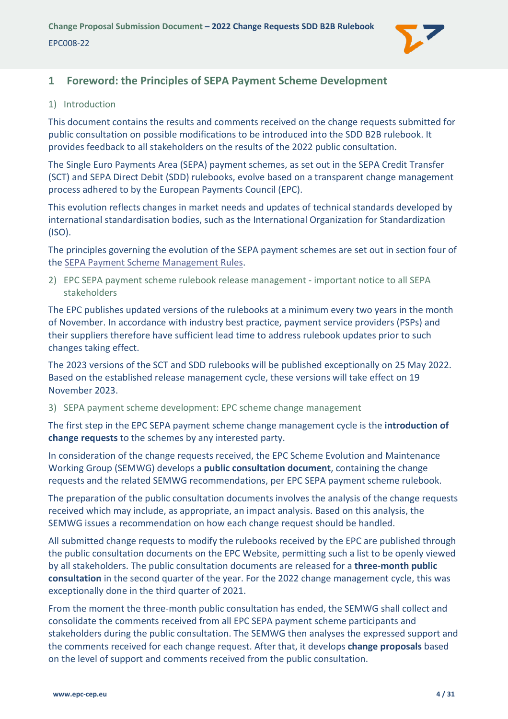

# <span id="page-3-0"></span>**1 Foreword: the Principles of SEPA Payment Scheme Development**

#### <span id="page-3-1"></span>1) Introduction

This document contains the results and comments received on the change requests submitted for public consultation on possible modifications to be introduced into the SDD B2B rulebook. It provides feedback to all stakeholders on the results of the 2022 public consultation.

The Single Euro Payments Area (SEPA) payment schemes, as set out in the SEPA Credit Transfer (SCT) and SEPA Direct Debit (SDD) rulebooks, evolve based on a transparent change management process adhered to by the European Payments Council (EPC).

This evolution reflects changes in market needs and updates of technical standards developed by international standardisation bodies, such as the International Organization for Standardization (ISO).

The principles governing the evolution of the SEPA payment schemes are set out in section four of th[e SEPA Payment Scheme Management Rules.](https://www.europeanpaymentscouncil.eu/document-library/rulebooks/sepa-payment-scheme-management-rules)

<span id="page-3-2"></span>2) EPC SEPA payment scheme rulebook release management - important notice to all SEPA stakeholders

The EPC publishes updated versions of the rulebooks at a minimum every two years in the month of November. In accordance with industry best practice, payment service providers (PSPs) and their suppliers therefore have sufficient lead time to address rulebook updates prior to such changes taking effect.

The 2023 versions of the SCT and SDD rulebooks will be published exceptionally on 25 May 2022. Based on the established release management cycle, these versions will take effect on 19 November 2023.

<span id="page-3-3"></span>3) SEPA payment scheme development: EPC scheme change management

The first step in the EPC SEPA payment scheme change management cycle is the **introduction of change requests** to the schemes by any interested party.

In consideration of the change requests received, the EPC Scheme Evolution and Maintenance Working Group (SEMWG) develops a **public consultation document**, containing the change requests and the related SEMWG recommendations, per EPC SEPA payment scheme rulebook.

The preparation of the public consultation documents involves the analysis of the change requests received which may include, as appropriate, an impact analysis. Based on this analysis, the SEMWG issues a recommendation on how each change request should be handled.

All submitted change requests to modify the rulebooks received by the EPC are published through the public consultation documents on the EPC Website, permitting such a list to be openly viewed by all stakeholders. The public consultation documents are released for a **three-month public consultation** in the second quarter of the year. For the 2022 change management cycle, this was exceptionally done in the third quarter of 2021.

From the moment the three-month public consultation has ended, the SEMWG shall collect and consolidate the comments received from all EPC SEPA payment scheme participants and stakeholders during the public consultation. The SEMWG then analyses the expressed support and the comments received for each change request. After that, it develops **change proposals** based on the level of support and comments received from the public consultation.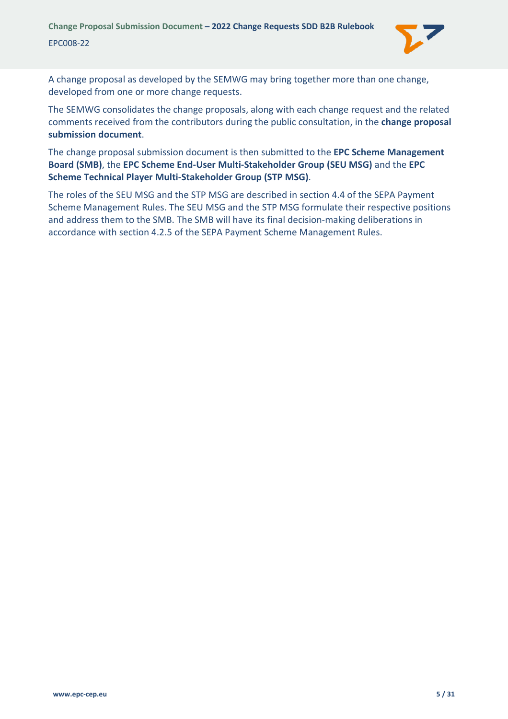

A change proposal as developed by the SEMWG may bring together more than one change, developed from one or more change requests.

The SEMWG consolidates the change proposals, along with each change request and the related comments received from the contributors during the public consultation, in the **change proposal submission document**.

The change proposal submission document is then submitted to the **EPC Scheme Management Board (SMB)**, the **EPC Scheme End-User Multi-Stakeholder Group (SEU MSG)** and the **EPC Scheme Technical Player Multi-Stakeholder Group (STP MSG)**.

The roles of the SEU MSG and the STP MSG are described in section 4.4 of the SEPA Payment Scheme Management Rules. The SEU MSG and the STP MSG formulate their respective positions and address them to the SMB. The SMB will have its final decision-making deliberations in accordance with section 4.2.5 of the SEPA Payment Scheme Management Rules.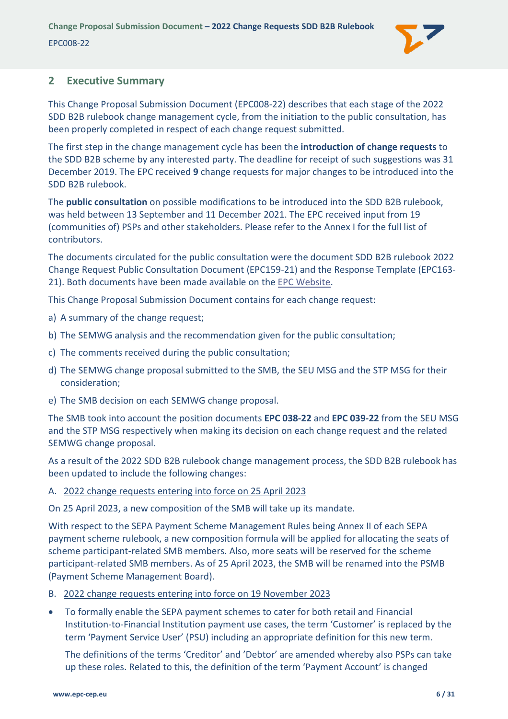

### <span id="page-5-0"></span>**2 Executive Summary**

This Change Proposal Submission Document (EPC008-22) describes that each stage of the 2022 SDD B2B rulebook change management cycle, from the initiation to the public consultation, has been properly completed in respect of each change request submitted.

The first step in the change management cycle has been the **introduction of change requests** to the SDD B2B scheme by any interested party. The deadline for receipt of such suggestions was 31 December 2019. The EPC received **9** change requests for major changes to be introduced into the SDD B2B rulebook.

The **public consultation** on possible modifications to be introduced into the SDD B2B rulebook, was held between 13 September and 11 December 2021. The EPC received input from 19 (communities of) PSPs and other stakeholders. Please refer to the [Annex I](#page-30-0) for the full list of contributors.

The documents circulated for the public consultation were the document SDD B2B rulebook 2022 Change Request Public Consultation Document (EPC159-21) and the Response Template (EPC163- 21). Both documents have been made available on the [EPC Website.](https://www.europeanpaymentscouncil.eu/document-library/rulebooks/sepa-direct-debit-business-business-rulebook-public-consultation)

This Change Proposal Submission Document contains for each change request:

- a) A summary of the change request;
- b) The SEMWG analysis and the recommendation given for the public consultation;
- c) The comments received during the public consultation;
- d) The SEMWG change proposal submitted to the SMB, the SEU MSG and the STP MSG for their consideration;
- e) The SMB decision on each SEMWG change proposal.

The SMB took into account the position documents **EPC 038-22** and **EPC 039-22** from the SEU MSG and the STP MSG respectively when making its decision on each change request and the related SEMWG change proposal.

As a result of the 2022 SDD B2B rulebook change management process, the SDD B2B rulebook has been updated to include the following changes:

#### A. 2022 change requests entering into force on 25 April 2023

On 25 April 2023, a new composition of the SMB will take up its mandate.

With respect to the SEPA Payment Scheme Management Rules being Annex II of each SEPA payment scheme rulebook, a new composition formula will be applied for allocating the seats of scheme participant-related SMB members. Also, more seats will be reserved for the scheme participant-related SMB members. As of 25 April 2023, the SMB will be renamed into the PSMB (Payment Scheme Management Board).

- B. 2022 change requests entering into force on 19 November 2023
- To formally enable the SEPA payment schemes to cater for both retail and Financial Institution-to-Financial Institution payment use cases, the term 'Customer' is replaced by the term 'Payment Service User' (PSU) including an appropriate definition for this new term.

The definitions of the terms 'Creditor' and 'Debtor' are amended whereby also PSPs can take up these roles. Related to this, the definition of the term 'Payment Account' is changed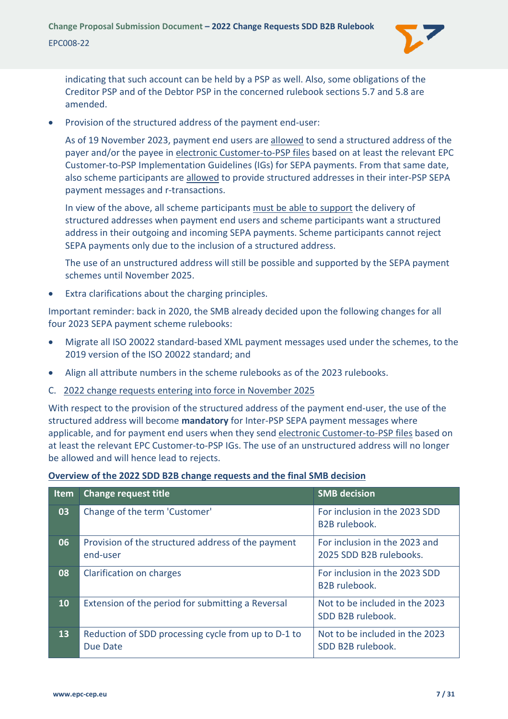

indicating that such account can be held by a PSP as well. Also, some obligations of the Creditor PSP and of the Debtor PSP in the concerned rulebook sections 5.7 and 5.8 are amended.

• Provision of the structured address of the payment end-user:

As of 19 November 2023, payment end users are allowed to send a structured address of the payer and/or the payee in electronic Customer-to-PSP files based on at least the relevant EPC Customer-to-PSP Implementation Guidelines (IGs) for SEPA payments. From that same date, also scheme participants are allowed to provide structured addresses in their inter-PSP SEPA payment messages and r-transactions.

In view of the above, all scheme participants must be able to support the delivery of structured addresses when payment end users and scheme participants want a structured address in their outgoing and incoming SEPA payments. Scheme participants cannot reject SEPA payments only due to the inclusion of a structured address.

The use of an unstructured address will still be possible and supported by the SEPA payment schemes until November 2025.

• Extra clarifications about the charging principles.

Important reminder: back in 2020, the SMB already decided upon the following changes for all four 2023 SEPA payment scheme rulebooks:

- Migrate all ISO 20022 standard-based XML payment messages used under the schemes, to the 2019 version of the ISO 20022 standard; and
- Align all attribute numbers in the scheme rulebooks as of the 2023 rulebooks.
- C. 2022 change requests entering into force in November 2025

With respect to the provision of the structured address of the payment end-user, the use of the structured address will become **mandatory** for Inter-PSP SEPA payment messages where applicable, and for payment end users when they send electronic Customer-to-PSP files based on at least the relevant EPC Customer-to-PSP IGs. The use of an unstructured address will no longer be allowed and will hence lead to rejects.

| Overview of the 2022 SDD B2B change requests and the final SMB decision |
|-------------------------------------------------------------------------|
|-------------------------------------------------------------------------|

| <b>Item</b> | <b>Change request title</b>                                     | <b>SMB</b> decision                                      |
|-------------|-----------------------------------------------------------------|----------------------------------------------------------|
| 03          | Change of the term 'Customer'                                   | For inclusion in the 2023 SDD<br><b>B2B</b> rulebook.    |
| 06          | Provision of the structured address of the payment<br>end-user  | For inclusion in the 2023 and<br>2025 SDD B2B rulebooks. |
| 08          | Clarification on charges                                        | For inclusion in the 2023 SDD<br><b>B2B</b> rulebook.    |
| 10          | Extension of the period for submitting a Reversal               | Not to be included in the 2023<br>SDD B2B rulebook.      |
| 13          | Reduction of SDD processing cycle from up to D-1 to<br>Due Date | Not to be included in the 2023<br>SDD B2B rulebook.      |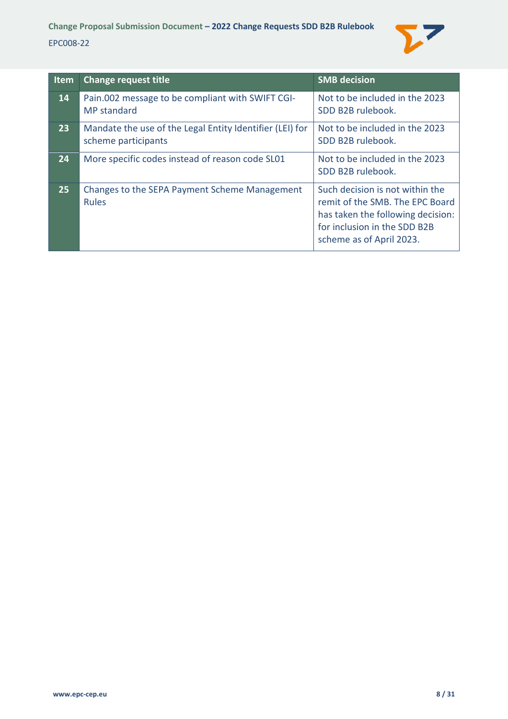

| <b>Item</b> | <b>Change request title</b>                                                     | <b>SMB</b> decision                                                                                                                                                 |
|-------------|---------------------------------------------------------------------------------|---------------------------------------------------------------------------------------------------------------------------------------------------------------------|
| 14          | Pain.002 message to be compliant with SWIFT CGI-<br><b>MP</b> standard          | Not to be included in the 2023<br>SDD B2B rulebook.                                                                                                                 |
| 23          | Mandate the use of the Legal Entity Identifier (LEI) for<br>scheme participants | Not to be included in the 2023<br>SDD B2B rulebook.                                                                                                                 |
| 24          | More specific codes instead of reason code SL01                                 | Not to be included in the 2023<br>SDD B2B rulebook.                                                                                                                 |
| 25          | Changes to the SEPA Payment Scheme Management<br><b>Rules</b>                   | Such decision is not within the<br>remit of the SMB. The EPC Board<br>has taken the following decision:<br>for inclusion in the SDD B2B<br>scheme as of April 2023. |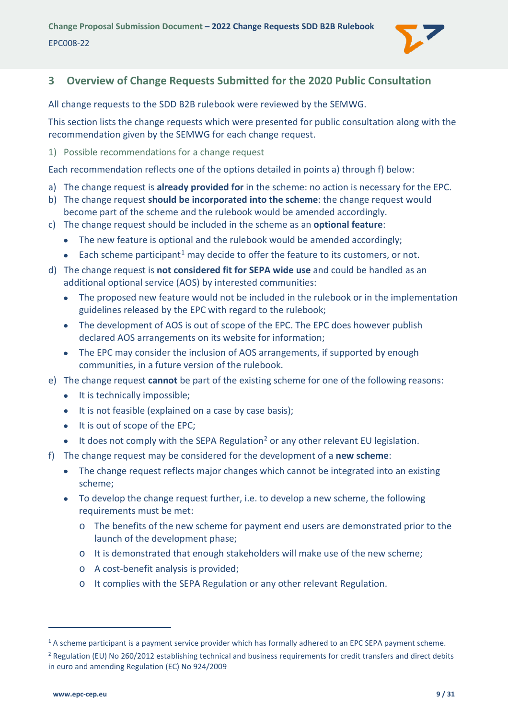

# <span id="page-8-0"></span>**3 Overview of Change Requests Submitted for the 2020 Public Consultation**

All change requests to the SDD B2B rulebook were reviewed by the SEMWG.

This section lists the change requests which were presented for public consultation along with the recommendation given by the SEMWG for each change request.

<span id="page-8-1"></span>1) Possible recommendations for a change request

Each recommendation reflects one of the options detailed in points a) through f) below:

- a) The change request is **already provided for** in the scheme: no action is necessary for the EPC.
- b) The change request **should be incorporated into the scheme**: the change request would become part of the scheme and the rulebook would be amended accordingly.
- c) The change request should be included in the scheme as an **optional feature**:
	- The new feature is optional and the rulebook would be amended accordingly;
	- Each scheme participant<sup>[1](#page-8-2)</sup> may decide to offer the feature to its customers, or not.
- d) The change request is **not considered fit for SEPA wide use** and could be handled as an additional optional service (AOS) by interested communities:
	- The proposed new feature would not be included in the rulebook or in the implementation guidelines released by the EPC with regard to the rulebook;
	- The development of AOS is out of scope of the EPC. The EPC does however publish declared AOS arrangements on its website for information;
	- The EPC may consider the inclusion of AOS arrangements, if supported by enough communities, in a future version of the rulebook.
- e) The change request **cannot** be part of the existing scheme for one of the following reasons:
	- It is technically impossible;
	- It is not feasible (explained on a case by case basis);
	- It is out of scope of the EPC;
	- $\bullet$  It does not comply with the SEPA Regulation<sup>[2](#page-8-3)</sup> or any other relevant EU legislation.
- f) The change request may be considered for the development of a **new scheme**:
	- The change request reflects major changes which cannot be integrated into an existing scheme;
	- To develop the change request further, i.e. to develop a new scheme, the following requirements must be met:
		- o The benefits of the new scheme for payment end users are demonstrated prior to the launch of the development phase;
		- o It is demonstrated that enough stakeholders will make use of the new scheme;
		- o A cost-benefit analysis is provided;
		- o It complies with the SEPA Regulation or any other relevant Regulation.

<span id="page-8-2"></span><sup>&</sup>lt;sup>1</sup> A scheme participant is a payment service provider which has formally adhered to an EPC SEPA payment scheme.

<span id="page-8-3"></span><sup>&</sup>lt;sup>2</sup> Regulation (EU) No 260/2012 establishing technical and business requirements for credit transfers and direct debits in euro and amending Regulation (EC) No 924/2009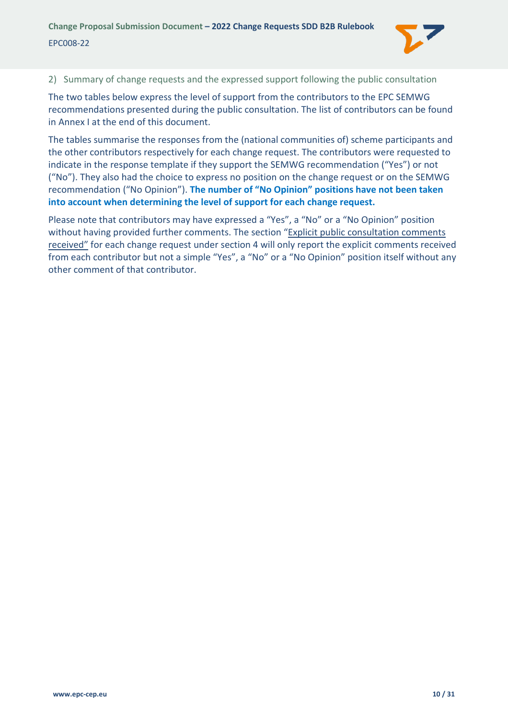

<span id="page-9-0"></span>2) Summary of change requests and the expressed support following the public consultation

The two tables below express the level of support from the contributors to the EPC SEMWG recommendations presented during the public consultation. The list of contributors can be found in [Annex I](#page-30-0) at the end of this document.

The tables summarise the responses from the (national communities of) scheme participants and the other contributors respectively for each change request. The contributors were requested to indicate in the response template if they support the SEMWG recommendation ("Yes") or not ("No"). They also had the choice to express no position on the change request or on the SEMWG recommendation ("No Opinion"). **The number of "No Opinion" positions have not been taken into account when determining the level of support for each change request.**

Please note that contributors may have expressed a "Yes", a "No" or a "No Opinion" position without having provided further comments. The section "Explicit public consultation comments received" for each change request under section [4](#page-12-0) will only report the explicit comments received from each contributor but not a simple "Yes", a "No" or a "No Opinion" position itself without any other comment of that contributor.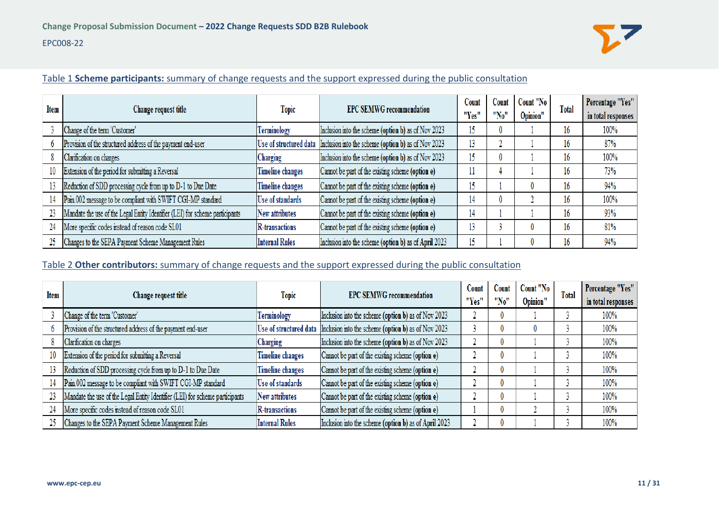

#### Table 1 **Scheme participants:** summary of change requests and the support expressed during the public consultation

| <b>Item</b> | Change request title                                                         | <b>Topic</b>            | <b>EPC SEMWG recommendation</b>                                            | Count<br>"Yes" | Count<br>"No" | Count "No<br>Opinion" | <b>Total</b> | Percentage "Yes"<br>in total responses |
|-------------|------------------------------------------------------------------------------|-------------------------|----------------------------------------------------------------------------|----------------|---------------|-----------------------|--------------|----------------------------------------|
|             | Change of the term 'Customer'                                                | Terminology             | Inclusion into the scheme (option b) as of Nov 2023                        | 15             | 0             |                       | 16           | 100%                                   |
|             | Provision of the structured address of the payment end-user                  |                         | Use of structured data Inclusion into the scheme (option b) as of Nov 2023 | 13             |               |                       | 16           | 87%                                    |
|             | Clarification on charges                                                     | Charging                | Inclusion into the scheme (option b) as of Nov 2023                        | 15             | 0             |                       | 16           | 100%                                   |
| 10          | Extension of the period for submitting a Reversal                            | Timeline changes        | Cannot be part of the existing scheme (option e)                           |                |               |                       | 16           | 73%                                    |
| 13          | Reduction of SDD processing cycle from up to D-1 to Due Date                 | <b>Timeline changes</b> | Cannot be part of the existing scheme (option e)                           | 15             |               |                       | 16           | 94%                                    |
| 14          | Pain.002 message to be compliant with SWIFT CGI-MP standard                  | Use of standards        | Cannot be part of the existing scheme (option e)                           | 14             | 0             |                       | 16           | 100%                                   |
|             | Mandate the use of the Legal Entity Identifier (LEI) for scheme participants | New attributes          | Cannot be part of the existing scheme (option e)                           | 14             |               |                       | 16           | 93%                                    |
| 24          | More specific codes instead of reason code SL01                              | <b>R</b> -transactions  | Cannot be part of the existing scheme (option e)                           | 13             |               |                       | 16           | 81%                                    |
|             | Changes to the SEPA Payment Scheme Management Rules                          | <b>Internal Rules</b>   | Inclusion into the scheme (option b) as of April 2023                      | 15             |               |                       | 16           | 94%                                    |

#### Table 2 **Other contributors:** summary of change requests and the support expressed during the public consultation

| Item | Change request title                                                         | <b>Topic</b>            | <b>EPC SEMWG recommendation</b>                                            | Count | Count    | Count "No | <b>Total</b> | Percentage "Yes"   |
|------|------------------------------------------------------------------------------|-------------------------|----------------------------------------------------------------------------|-------|----------|-----------|--------------|--------------------|
|      |                                                                              |                         |                                                                            | "Yes" | "No"     | Opinion"  |              | in total responses |
|      | Change of the term 'Customer'                                                | Terminology             | Inclusion into the scheme (option b) as of Nov 2023                        |       | $\theta$ |           |              | 100%               |
|      | Provision of the structured address of the payment end-user                  |                         | Use of structured data Inclusion into the scheme (option b) as of Nov 2023 |       | $\theta$ | 0         |              | 100%               |
|      | Clarification on charges                                                     | Charging                | Inclusion into the scheme (option b) as of Nov 2023                        |       | $^{0}$   |           |              | 100%               |
| 10   | Extension of the period for submitting a Reversal                            | <b>Timeline changes</b> | Cannot be part of the existing scheme (option e)                           |       |          |           |              | 100%               |
|      | Reduction of SDD processing cycle from up to D-1 to Due Date                 | <b>Timeline changes</b> | Cannot be part of the existing scheme (option e)                           |       | $\theta$ |           |              | 100%               |
|      | Pain.002 message to be compliant with SWIFT CGI-MP standard                  | <b>Use of standards</b> | Cannot be part of the existing scheme (option e)                           |       | $\theta$ |           |              | 100%               |
| 23   | Mandate the use of the Legal Entity Identifier (LEI) for scheme participants | <b>New attributes</b>   | Cannot be part of the existing scheme (option e)                           |       | $\theta$ |           |              | 100%               |
| 24   | More specific codes instead of reason code SL01                              | <b>R</b> -transactions  | Cannot be part of the existing scheme (option e)                           |       | $\theta$ |           |              | 100%               |
| 25   | Changes to the SEPA Payment Scheme Management Rules                          | <b>Internal Rules</b>   | Inclusion into the scheme (option b) as of April 2023                      |       | $\theta$ |           |              | 100%               |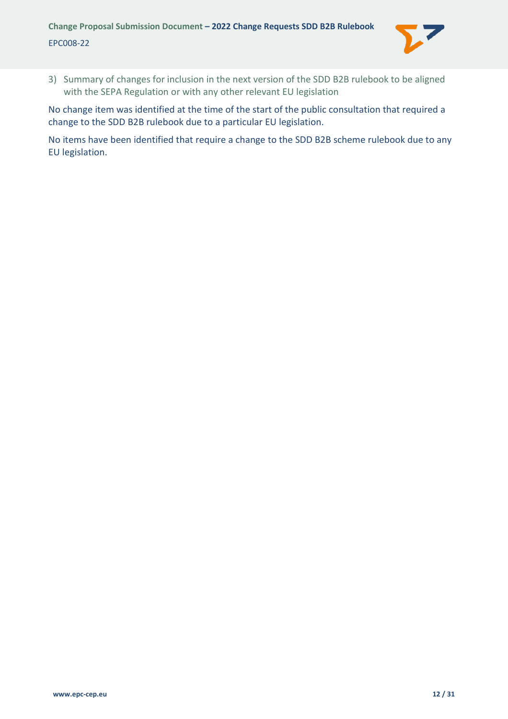

<span id="page-11-0"></span>3) Summary of changes for inclusion in the next version of the SDD B2B rulebook to be aligned with the SEPA Regulation or with any other relevant EU legislation

No change item was identified at the time of the start of the public consultation that required a change to the SDD B2B rulebook due to a particular EU legislation.

No items have been identified that require a change to the SDD B2B scheme rulebook due to any EU legislation.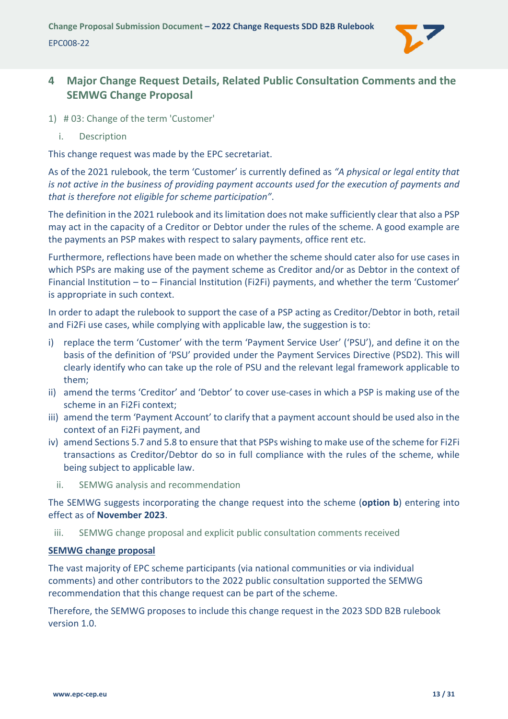

# <span id="page-12-0"></span>**4 Major Change Request Details, Related Public Consultation Comments and the SEMWG Change Proposal**

- <span id="page-12-2"></span><span id="page-12-1"></span>1) # 03: Change of the term 'Customer'
	- i. Description

This change request was made by the EPC secretariat.

As of the 2021 rulebook, the term 'Customer' is currently defined as *"A physical or legal entity that is not active in the business of providing payment accounts used for the execution of payments and that is therefore not eligible for scheme participation"*.

The definition in the 2021 rulebook and its limitation does not make sufficiently clear that also a PSP may act in the capacity of a Creditor or Debtor under the rules of the scheme. A good example are the payments an PSP makes with respect to salary payments, office rent etc.

Furthermore, reflections have been made on whether the scheme should cater also for use cases in which PSPs are making use of the payment scheme as Creditor and/or as Debtor in the context of Financial Institution – to – Financial Institution (Fi2Fi) payments, and whether the term 'Customer' is appropriate in such context.

In order to adapt the rulebook to support the case of a PSP acting as Creditor/Debtor in both, retail and Fi2Fi use cases, while complying with applicable law, the suggestion is to:

- i) replace the term 'Customer' with the term 'Payment Service User' ('PSU'), and define it on the basis of the definition of 'PSU' provided under the Payment Services Directive (PSD2). This will clearly identify who can take up the role of PSU and the relevant legal framework applicable to them;
- ii) amend the terms 'Creditor' and 'Debtor' to cover use-cases in which a PSP is making use of the scheme in an Fi2Fi context;
- iii) amend the term 'Payment Account' to clarify that a payment account should be used also in the context of an Fi2Fi payment, and
- iv) amend Sections 5.7 and 5.8 to ensure that that PSPs wishing to make use of the scheme for Fi2Fi transactions as Creditor/Debtor do so in full compliance with the rules of the scheme, while being subject to applicable law.
	- ii. SEMWG analysis and recommendation

<span id="page-12-3"></span>The SEMWG suggests incorporating the change request into the scheme (**option b**) entering into effect as of **November 2023**.

<span id="page-12-4"></span>iii. SEMWG change proposal and explicit public consultation comments received

#### **SEMWG change proposal**

The vast majority of EPC scheme participants (via national communities or via individual comments) and other contributors to the 2022 public consultation supported the SEMWG recommendation that this change request can be part of the scheme.

Therefore, the SEMWG proposes to include this change request in the 2023 SDD B2B rulebook version 1.0.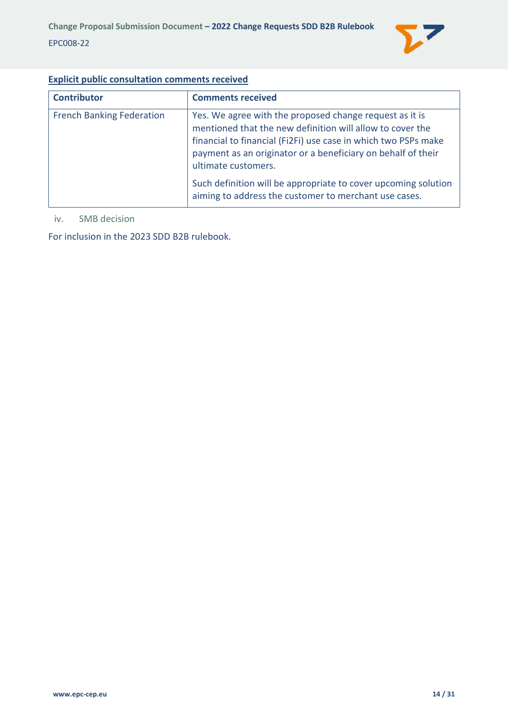

### **Explicit public consultation comments received**

| <b>Contributor</b>               | <b>Comments received</b>                                                                                                                                                                                                                                                      |
|----------------------------------|-------------------------------------------------------------------------------------------------------------------------------------------------------------------------------------------------------------------------------------------------------------------------------|
| <b>French Banking Federation</b> | Yes. We agree with the proposed change request as it is<br>mentioned that the new definition will allow to cover the<br>financial to financial (Fi2Fi) use case in which two PSPs make<br>payment as an originator or a beneficiary on behalf of their<br>ultimate customers. |
|                                  | Such definition will be appropriate to cover upcoming solution<br>aiming to address the customer to merchant use cases.                                                                                                                                                       |

#### <span id="page-13-0"></span>iv. SMB decision

For inclusion in the 2023 SDD B2B rulebook.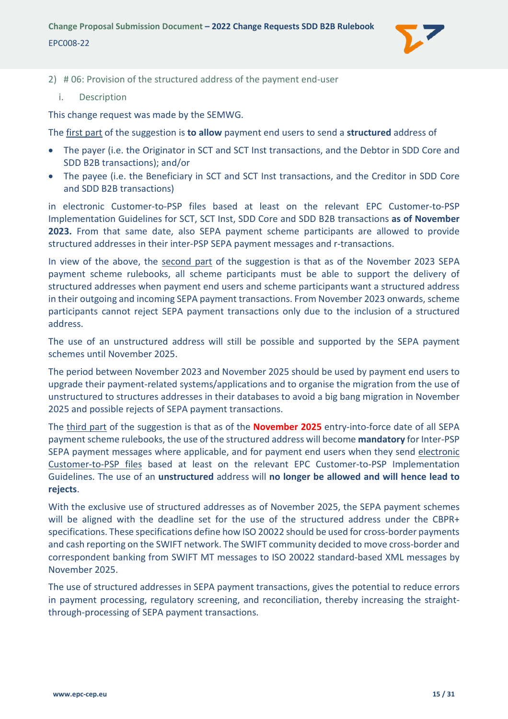

- <span id="page-14-1"></span><span id="page-14-0"></span>2) # 06: Provision of the structured address of the payment end-user
	- i. Description

This change request was made by the SEMWG.

The first part of the suggestion is **to allow** payment end users to send a **structured** address of

- The payer (i.e. the Originator in SCT and SCT Inst transactions, and the Debtor in SDD Core and SDD B2B transactions); and/or
- The payee (i.e. the Beneficiary in SCT and SCT Inst transactions, and the Creditor in SDD Core and SDD B2B transactions)

in electronic Customer-to-PSP files based at least on the relevant EPC Customer-to-PSP Implementation Guidelines for SCT, SCT Inst, SDD Core and SDD B2B transactions **as of November 2023.** From that same date, also SEPA payment scheme participants are allowed to provide structured addresses in their inter-PSP SEPA payment messages and r-transactions.

In view of the above, the second part of the suggestion is that as of the November 2023 SEPA payment scheme rulebooks, all scheme participants must be able to support the delivery of structured addresses when payment end users and scheme participants want a structured address in their outgoing and incoming SEPA payment transactions. From November 2023 onwards, scheme participants cannot reject SEPA payment transactions only due to the inclusion of a structured address.

The use of an unstructured address will still be possible and supported by the SEPA payment schemes until November 2025.

The period between November 2023 and November 2025 should be used by payment end users to upgrade their payment-related systems/applications and to organise the migration from the use of unstructured to structures addresses in their databases to avoid a big bang migration in November 2025 and possible rejects of SEPA payment transactions.

The third part of the suggestion is that as of the **November 2025** entry-into-force date of all SEPA payment scheme rulebooks, the use of the structured address will become **mandatory** for Inter-PSP SEPA payment messages where applicable, and for payment end users when they send electronic Customer-to-PSP files based at least on the relevant EPC Customer-to-PSP Implementation Guidelines. The use of an **unstructured** address will **no longer be allowed and will hence lead to rejects**.

With the exclusive use of structured addresses as of November 2025, the SEPA payment schemes will be aligned with the deadline set for the use of the structured address under the CBPR+ specifications. These specifications define how ISO 20022 should be used for cross-border payments and cash reporting on the SWIFT network. The SWIFT community decided to move cross-border and correspondent banking from SWIFT MT messages to ISO 20022 standard-based XML messages by November 2025.

The use of structured addresses in SEPA payment transactions, gives the potential to reduce errors in payment processing, regulatory screening, and reconciliation, thereby increasing the straightthrough-processing of SEPA payment transactions.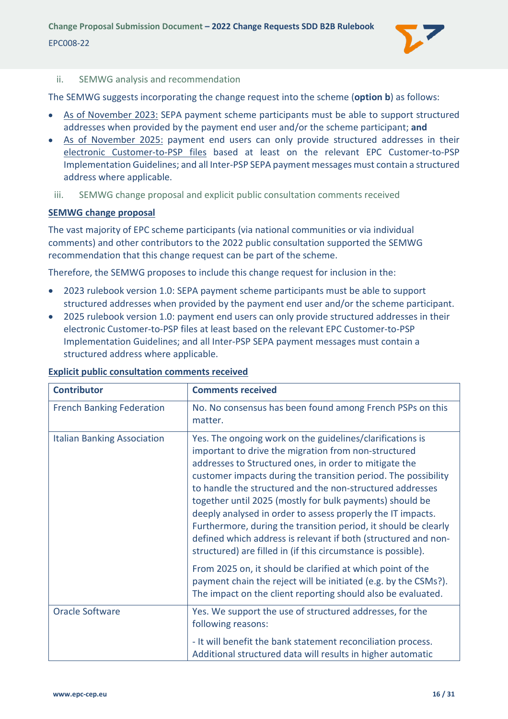

#### <span id="page-15-0"></span>ii. SEMWG analysis and recommendation

The SEMWG suggests incorporating the change request into the scheme (**option b**) as follows:

- As of November 2023: SEPA payment scheme participants must be able to support structured addresses when provided by the payment end user and/or the scheme participant; **and**
- As of November 2025: payment end users can only provide structured addresses in their electronic Customer-to-PSP files based at least on the relevant EPC Customer-to-PSP Implementation Guidelines; and all Inter-PSP SEPA payment messages must contain a structured address where applicable.
- <span id="page-15-1"></span>iii. SEMWG change proposal and explicit public consultation comments received

#### **SEMWG change proposal**

The vast majority of EPC scheme participants (via national communities or via individual comments) and other contributors to the 2022 public consultation supported the SEMWG recommendation that this change request can be part of the scheme.

Therefore, the SEMWG proposes to include this change request for inclusion in the:

- 2023 rulebook version 1.0: SEPA payment scheme participants must be able to support structured addresses when provided by the payment end user and/or the scheme participant.
- 2025 rulebook version 1.0: payment end users can only provide structured addresses in their electronic Customer-to-PSP files at least based on the relevant EPC Customer-to-PSP Implementation Guidelines; and all Inter-PSP SEPA payment messages must contain a structured address where applicable.

| <b>Contributor</b>                 | <b>Comments received</b>                                                                                                                                                                                                                                                                                                                                                                                                                                                                                                                                                                                                                    |
|------------------------------------|---------------------------------------------------------------------------------------------------------------------------------------------------------------------------------------------------------------------------------------------------------------------------------------------------------------------------------------------------------------------------------------------------------------------------------------------------------------------------------------------------------------------------------------------------------------------------------------------------------------------------------------------|
| <b>French Banking Federation</b>   | No. No consensus has been found among French PSPs on this<br>matter.                                                                                                                                                                                                                                                                                                                                                                                                                                                                                                                                                                        |
| <b>Italian Banking Association</b> | Yes. The ongoing work on the guidelines/clarifications is<br>important to drive the migration from non-structured<br>addresses to Structured ones, in order to mitigate the<br>customer impacts during the transition period. The possibility<br>to handle the structured and the non-structured addresses<br>together until 2025 (mostly for bulk payments) should be<br>deeply analysed in order to assess properly the IT impacts.<br>Furthermore, during the transition period, it should be clearly<br>defined which address is relevant if both (structured and non-<br>structured) are filled in (if this circumstance is possible). |
|                                    | From 2025 on, it should be clarified at which point of the<br>payment chain the reject will be initiated (e.g. by the CSMs?).<br>The impact on the client reporting should also be evaluated.                                                                                                                                                                                                                                                                                                                                                                                                                                               |
| <b>Oracle Software</b>             | Yes. We support the use of structured addresses, for the<br>following reasons:                                                                                                                                                                                                                                                                                                                                                                                                                                                                                                                                                              |
|                                    | - It will benefit the bank statement reconciliation process.<br>Additional structured data will results in higher automatic                                                                                                                                                                                                                                                                                                                                                                                                                                                                                                                 |

#### **Explicit public consultation comments received**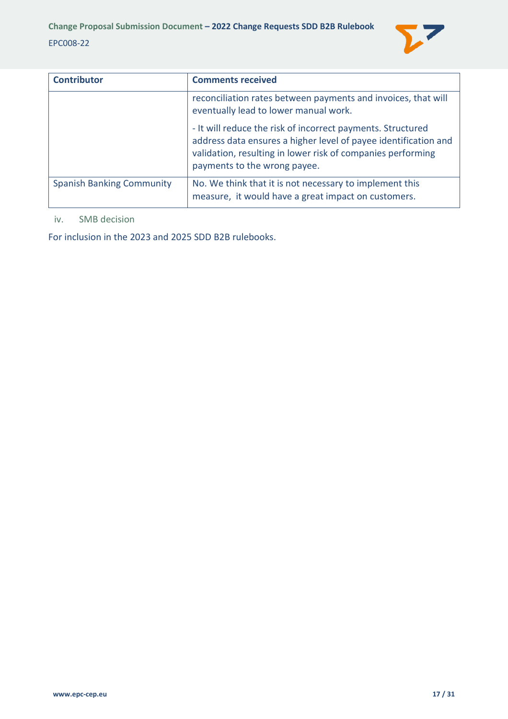

| <b>Contributor</b>               | <b>Comments received</b>                                                                                                                                                                                                      |
|----------------------------------|-------------------------------------------------------------------------------------------------------------------------------------------------------------------------------------------------------------------------------|
|                                  | reconciliation rates between payments and invoices, that will<br>eventually lead to lower manual work.                                                                                                                        |
|                                  | - It will reduce the risk of incorrect payments. Structured<br>address data ensures a higher level of payee identification and<br>validation, resulting in lower risk of companies performing<br>payments to the wrong payee. |
| <b>Spanish Banking Community</b> | No. We think that it is not necessary to implement this<br>measure, it would have a great impact on customers.                                                                                                                |

#### <span id="page-16-0"></span>iv. SMB decision

For inclusion in the 2023 and 2025 SDD B2B rulebooks.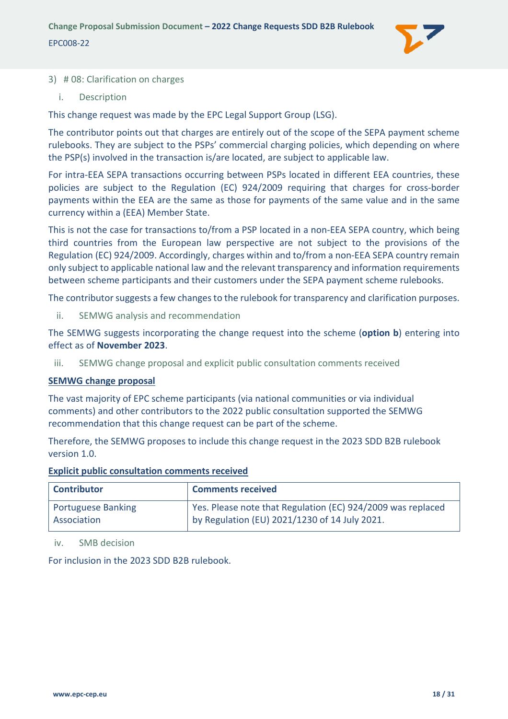

#### <span id="page-17-0"></span>3) # 08: Clarification on charges

<span id="page-17-1"></span>i. Description

This change request was made by the EPC Legal Support Group (LSG).

The contributor points out that charges are entirely out of the scope of the SEPA payment scheme rulebooks. They are subject to the PSPs' commercial charging policies, which depending on where the PSP(s) involved in the transaction is/are located, are subject to applicable law.

For intra-EEA SEPA transactions occurring between PSPs located in different EEA countries, these policies are subject to the Regulation (EC) 924/2009 requiring that charges for cross-border payments within the EEA are the same as those for payments of the same value and in the same currency within a (EEA) Member State.

This is not the case for transactions to/from a PSP located in a non-EEA SEPA country, which being third countries from the European law perspective are not subject to the provisions of the Regulation (EC) 924/2009. Accordingly, charges within and to/from a non-EEA SEPA country remain only subject to applicable national law and the relevant transparency and information requirements between scheme participants and their customers under the SEPA payment scheme rulebooks.

The contributor suggests a few changes to the rulebook for transparency and clarification purposes.

<span id="page-17-2"></span>ii. SEMWG analysis and recommendation

The SEMWG suggests incorporating the change request into the scheme (**option b**) entering into effect as of **November 2023**.

<span id="page-17-3"></span>iii. SEMWG change proposal and explicit public consultation comments received

#### **SEMWG change proposal**

The vast majority of EPC scheme participants (via national communities or via individual comments) and other contributors to the 2022 public consultation supported the SEMWG recommendation that this change request can be part of the scheme.

Therefore, the SEMWG proposes to include this change request in the 2023 SDD B2B rulebook version 1.0.

#### **Explicit public consultation comments received**

| <b>Contributor</b> | <b>Comments received</b>                                    |
|--------------------|-------------------------------------------------------------|
| Portuguese Banking | Yes. Please note that Regulation (EC) 924/2009 was replaced |
| Association        | by Regulation (EU) 2021/1230 of 14 July 2021.               |

<span id="page-17-4"></span>iv. SMB decision

For inclusion in the 2023 SDD B2B rulebook.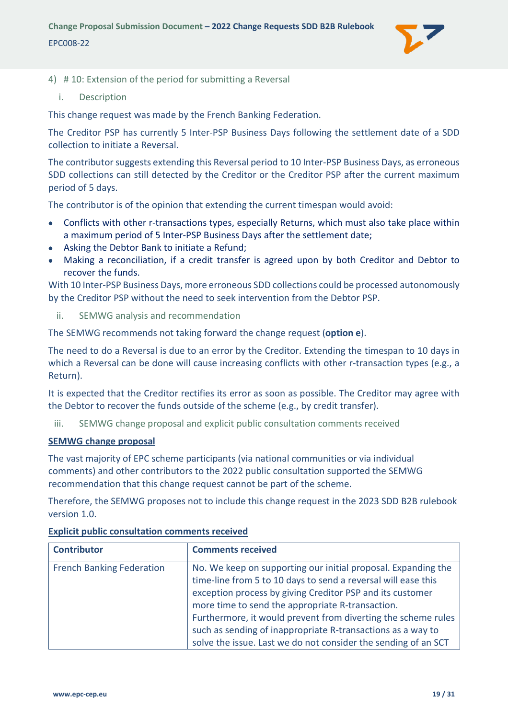

- <span id="page-18-1"></span><span id="page-18-0"></span>4) # 10: Extension of the period for submitting a Reversal
	- i. Description

This change request was made by the French Banking Federation.

The Creditor PSP has currently 5 Inter-PSP Business Days following the settlement date of a SDD collection to initiate a Reversal.

The contributor suggests extending this Reversal period to 10 Inter-PSP Business Days, as erroneous SDD collections can still detected by the Creditor or the Creditor PSP after the current maximum period of 5 days.

The contributor is of the opinion that extending the current timespan would avoid:

- Conflicts with other r-transactions types, especially Returns, which must also take place within a maximum period of 5 Inter-PSP Business Days after the settlement date;
- Asking the Debtor Bank to initiate a Refund;
- Making a reconciliation, if a credit transfer is agreed upon by both Creditor and Debtor to recover the funds.

With 10 Inter-PSP Business Days, more erroneous SDD collections could be processed autonomously by the Creditor PSP without the need to seek intervention from the Debtor PSP.

<span id="page-18-2"></span>ii. SEMWG analysis and recommendation

The SEMWG recommends not taking forward the change request (**option e**).

The need to do a Reversal is due to an error by the Creditor. Extending the timespan to 10 days in which a Reversal can be done will cause increasing conflicts with other r-transaction types (e.g., a Return).

It is expected that the Creditor rectifies its error as soon as possible. The Creditor may agree with the Debtor to recover the funds outside of the scheme (e.g., by credit transfer).

<span id="page-18-3"></span>iii. SEMWG change proposal and explicit public consultation comments received

# **SEMWG change proposal**

The vast majority of EPC scheme participants (via national communities or via individual comments) and other contributors to the 2022 public consultation supported the SEMWG recommendation that this change request cannot be part of the scheme.

Therefore, the SEMWG proposes not to include this change request in the 2023 SDD B2B rulebook version 1.0.

| <b>Contributor</b>               | <b>Comments received</b>                                                                                                                                                                                                                                                                                                                                                                                                                          |
|----------------------------------|---------------------------------------------------------------------------------------------------------------------------------------------------------------------------------------------------------------------------------------------------------------------------------------------------------------------------------------------------------------------------------------------------------------------------------------------------|
| <b>French Banking Federation</b> | No. We keep on supporting our initial proposal. Expanding the<br>time-line from 5 to 10 days to send a reversal will ease this<br>exception process by giving Creditor PSP and its customer<br>more time to send the appropriate R-transaction.<br>Furthermore, it would prevent from diverting the scheme rules<br>such as sending of inappropriate R-transactions as a way to<br>solve the issue. Last we do not consider the sending of an SCT |

# **Explicit public consultation comments received**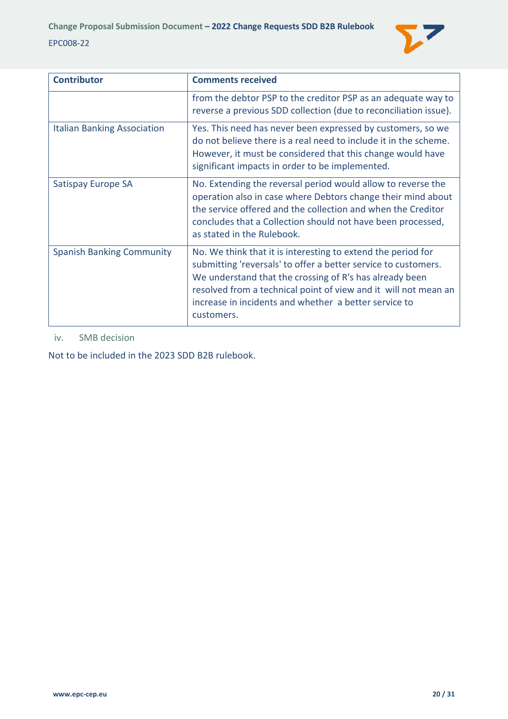

| <b>Contributor</b>                 | <b>Comments received</b>                                                                                                                                                                                                                                                                                                            |
|------------------------------------|-------------------------------------------------------------------------------------------------------------------------------------------------------------------------------------------------------------------------------------------------------------------------------------------------------------------------------------|
|                                    | from the debtor PSP to the creditor PSP as an adequate way to<br>reverse a previous SDD collection (due to reconciliation issue).                                                                                                                                                                                                   |
| <b>Italian Banking Association</b> | Yes. This need has never been expressed by customers, so we<br>do not believe there is a real need to include it in the scheme.<br>However, it must be considered that this change would have<br>significant impacts in order to be implemented.                                                                                    |
| Satispay Europe SA                 | No. Extending the reversal period would allow to reverse the<br>operation also in case where Debtors change their mind about<br>the service offered and the collection and when the Creditor<br>concludes that a Collection should not have been processed,<br>as stated in the Rulebook.                                           |
| <b>Spanish Banking Community</b>   | No. We think that it is interesting to extend the period for<br>submitting 'reversals' to offer a better service to customers.<br>We understand that the crossing of R's has already been<br>resolved from a technical point of view and it will not mean an<br>increase in incidents and whether a better service to<br>customers. |

#### <span id="page-19-0"></span>iv. SMB decision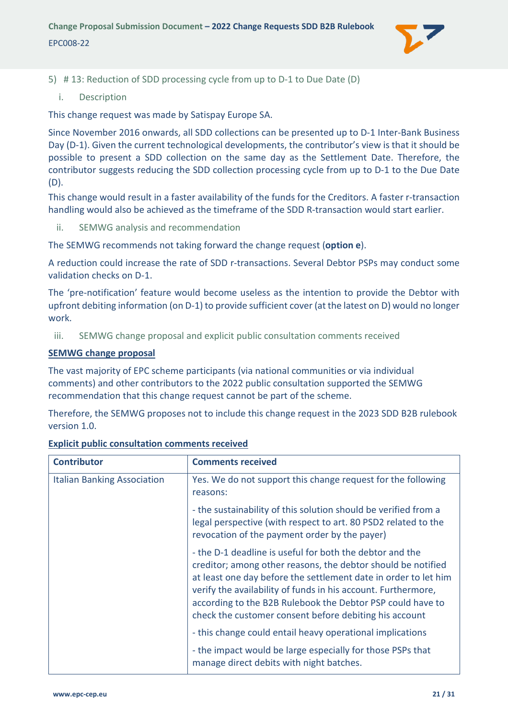

- <span id="page-20-1"></span><span id="page-20-0"></span>5) # 13: Reduction of SDD processing cycle from up to D-1 to Due Date (D)
	- i. Description

This change request was made by Satispay Europe SA.

Since November 2016 onwards, all SDD collections can be presented up to D-1 Inter-Bank Business Day (D-1). Given the current technological developments, the contributor's view is that it should be possible to present a SDD collection on the same day as the Settlement Date. Therefore, the contributor suggests reducing the SDD collection processing cycle from up to D-1 to the Due Date (D).

This change would result in a faster availability of the funds for the Creditors. A faster r-transaction handling would also be achieved as the timeframe of the SDD R-transaction would start earlier.

<span id="page-20-2"></span>ii. SEMWG analysis and recommendation

The SEMWG recommends not taking forward the change request (**option e**).

A reduction could increase the rate of SDD r-transactions. Several Debtor PSPs may conduct some validation checks on D-1.

The 'pre-notification' feature would become useless as the intention to provide the Debtor with upfront debiting information (on D-1) to provide sufficient cover (at the latest on D) would no longer work.

<span id="page-20-3"></span>iii. SEMWG change proposal and explicit public consultation comments received

#### **SEMWG change proposal**

The vast majority of EPC scheme participants (via national communities or via individual comments) and other contributors to the 2022 public consultation supported the SEMWG recommendation that this change request cannot be part of the scheme.

Therefore, the SEMWG proposes not to include this change request in the 2023 SDD B2B rulebook version 1.0.

| <b>Contributor</b>                 | <b>Comments received</b>                                                                                                                                                                                                                                                                                                                                                             |
|------------------------------------|--------------------------------------------------------------------------------------------------------------------------------------------------------------------------------------------------------------------------------------------------------------------------------------------------------------------------------------------------------------------------------------|
| <b>Italian Banking Association</b> | Yes. We do not support this change request for the following<br>reasons:                                                                                                                                                                                                                                                                                                             |
|                                    | - the sustainability of this solution should be verified from a<br>legal perspective (with respect to art. 80 PSD2 related to the<br>revocation of the payment order by the payer)                                                                                                                                                                                                   |
|                                    | - the D-1 deadline is useful for both the debtor and the<br>creditor; among other reasons, the debtor should be notified<br>at least one day before the settlement date in order to let him<br>verify the availability of funds in his account. Furthermore,<br>according to the B2B Rulebook the Debtor PSP could have to<br>check the customer consent before debiting his account |
|                                    | - this change could entail heavy operational implications                                                                                                                                                                                                                                                                                                                            |
|                                    | - the impact would be large especially for those PSPs that<br>manage direct debits with night batches.                                                                                                                                                                                                                                                                               |

#### **Explicit public consultation comments received**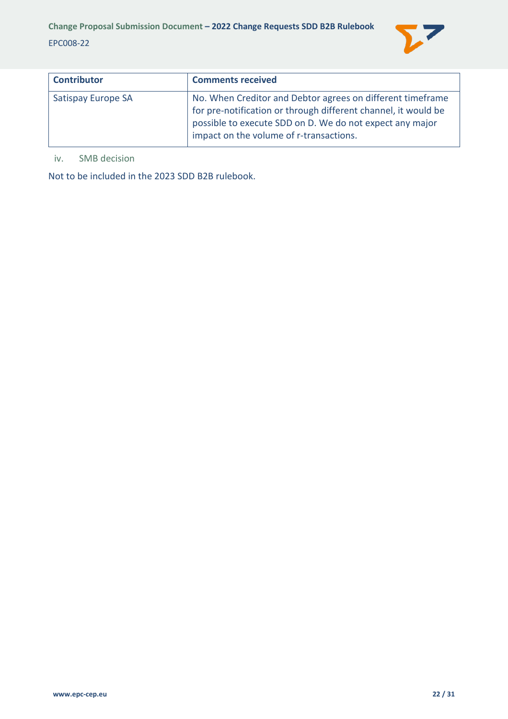

| <b>Contributor</b> | <b>Comments received</b>                                                                                                                                                                                                            |
|--------------------|-------------------------------------------------------------------------------------------------------------------------------------------------------------------------------------------------------------------------------------|
| Satispay Europe SA | No. When Creditor and Debtor agrees on different timeframe<br>for pre-notification or through different channel, it would be<br>possible to execute SDD on D. We do not expect any major<br>impact on the volume of r-transactions. |

#### <span id="page-21-0"></span>iv. SMB decision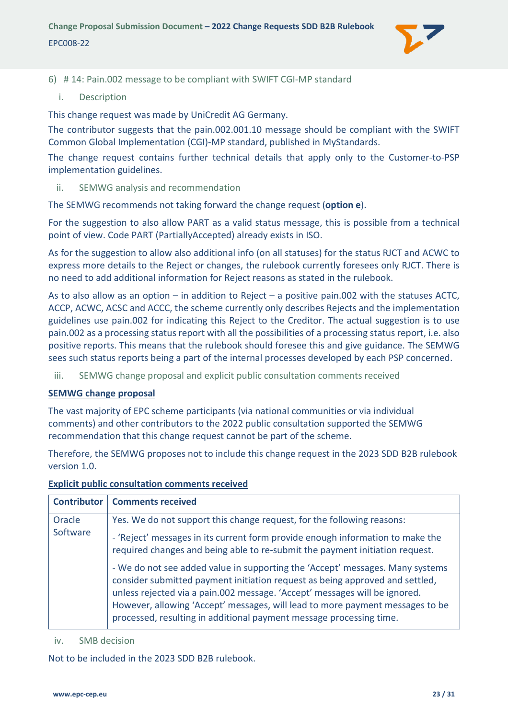

<span id="page-22-0"></span>6) # 14: Pain.002 message to be compliant with SWIFT CGI-MP standard

<span id="page-22-1"></span>i. Description

This change request was made by UniCredit AG Germany.

The contributor suggests that the pain.002.001.10 message should be compliant with the SWIFT Common Global Implementation (CGI)-MP standard, published in MyStandards.

The change request contains further technical details that apply only to the Customer-to-PSP implementation guidelines.

<span id="page-22-2"></span>ii. SEMWG analysis and recommendation

The SEMWG recommends not taking forward the change request (**option e**).

For the suggestion to also allow PART as a valid status message, this is possible from a technical point of view. Code PART (PartiallyAccepted) already exists in ISO.

As for the suggestion to allow also additional info (on all statuses) for the status RJCT and ACWC to express more details to the Reject or changes, the rulebook currently foresees only RJCT. There is no need to add additional information for Reject reasons as stated in the rulebook.

As to also allow as an option – in addition to Reject – a positive pain.002 with the statuses ACTC, ACCP, ACWC, ACSC and ACCC, the scheme currently only describes Rejects and the implementation guidelines use pain.002 for indicating this Reject to the Creditor. The actual suggestion is to use pain.002 as a processing status report with all the possibilities of a processing status report, i.e. also positive reports. This means that the rulebook should foresee this and give guidance. The SEMWG sees such status reports being a part of the internal processes developed by each PSP concerned.

<span id="page-22-3"></span>iii. SEMWG change proposal and explicit public consultation comments received

#### **SEMWG change proposal**

The vast majority of EPC scheme participants (via national communities or via individual comments) and other contributors to the 2022 public consultation supported the SEMWG recommendation that this change request cannot be part of the scheme.

Therefore, the SEMWG proposes not to include this change request in the 2023 SDD B2B rulebook version 1.0.

#### **Explicit public consultation comments received**

|          | <b>Contributor   Comments received</b>                                                                                                                                                                                                                                                                                                                                                              |
|----------|-----------------------------------------------------------------------------------------------------------------------------------------------------------------------------------------------------------------------------------------------------------------------------------------------------------------------------------------------------------------------------------------------------|
| Oracle   | Yes. We do not support this change request, for the following reasons:                                                                                                                                                                                                                                                                                                                              |
| Software | - 'Reject' messages in its current form provide enough information to make the<br>required changes and being able to re-submit the payment initiation request.                                                                                                                                                                                                                                      |
|          | - We do not see added value in supporting the 'Accept' messages. Many systems<br>consider submitted payment initiation request as being approved and settled,<br>unless rejected via a pain.002 message. 'Accept' messages will be ignored.<br>However, allowing 'Accept' messages, will lead to more payment messages to be<br>processed, resulting in additional payment message processing time. |

<span id="page-22-4"></span>iv. SMB decision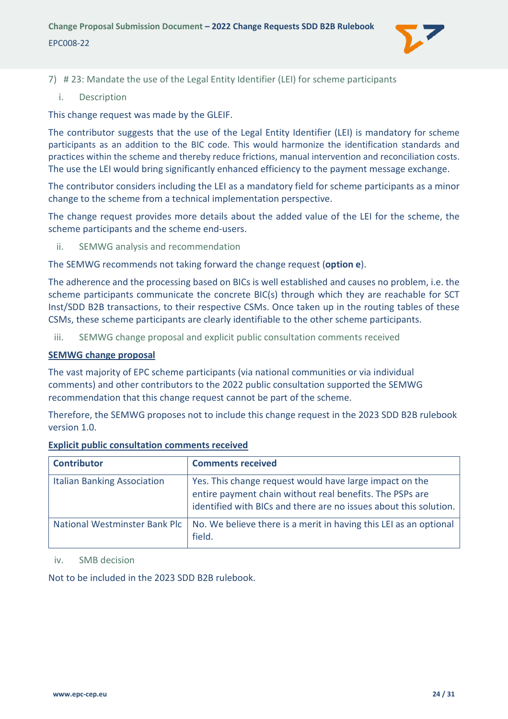

- <span id="page-23-1"></span><span id="page-23-0"></span>7) # 23: Mandate the use of the Legal Entity Identifier (LEI) for scheme participants
	- i. Description

This change request was made by the GLEIF.

The contributor suggests that the use of the Legal Entity Identifier (LEI) is mandatory for scheme participants as an addition to the BIC code. This would harmonize the identification standards and practices within the scheme and thereby reduce frictions, manual intervention and reconciliation costs. The use the LEI would bring significantly enhanced efficiency to the payment message exchange.

The contributor considers including the LEI as a mandatory field for scheme participants as a minor change to the scheme from a technical implementation perspective.

The change request provides more details about the added value of the LEI for the scheme, the scheme participants and the scheme end-users.

<span id="page-23-2"></span>ii. SEMWG analysis and recommendation

The SEMWG recommends not taking forward the change request (**option e**).

The adherence and the processing based on BICs is well established and causes no problem, i.e. the scheme participants communicate the concrete BIC(s) through which they are reachable for SCT Inst/SDD B2B transactions, to their respective CSMs. Once taken up in the routing tables of these CSMs, these scheme participants are clearly identifiable to the other scheme participants.

<span id="page-23-3"></span>iii. SEMWG change proposal and explicit public consultation comments received

#### **SEMWG change proposal**

The vast majority of EPC scheme participants (via national communities or via individual comments) and other contributors to the 2022 public consultation supported the SEMWG recommendation that this change request cannot be part of the scheme.

Therefore, the SEMWG proposes not to include this change request in the 2023 SDD B2B rulebook version 1.0.

| <b>Contributor</b>                 | <b>Comments received</b>                                                                                                                                                                 |
|------------------------------------|------------------------------------------------------------------------------------------------------------------------------------------------------------------------------------------|
| <b>Italian Banking Association</b> | Yes. This change request would have large impact on the<br>entire payment chain without real benefits. The PSPs are<br>identified with BICs and there are no issues about this solution. |
|                                    | National Westminster Bank Plc   No. We believe there is a merit in having this LEI as an optional<br>field.                                                                              |

#### **Explicit public consultation comments received**

<span id="page-23-4"></span>iv. SMB decision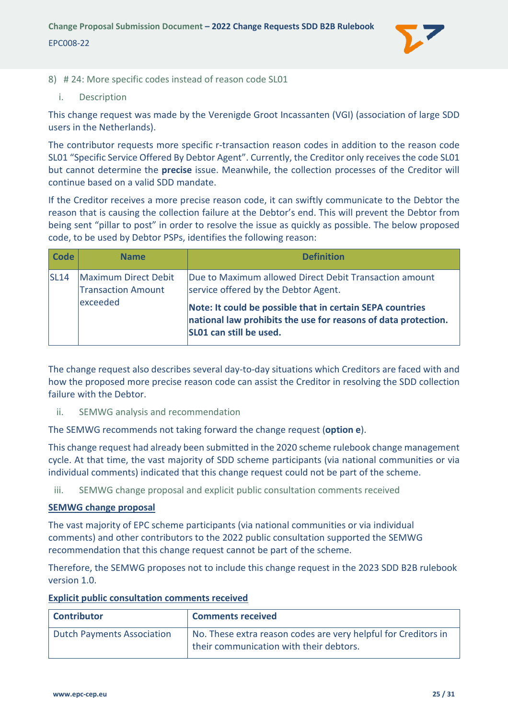

#### <span id="page-24-0"></span>8) # 24: More specific codes instead of reason code SL01

<span id="page-24-1"></span>i. Description

This change request was made by the Verenigde Groot Incassanten (VGI) (association of large SDD users in the Netherlands).

The contributor requests more specific r-transaction reason codes in addition to the reason code SL01 "Specific Service Offered By Debtor Agent". Currently, the Creditor only receives the code SL01 but cannot determine the **precise** issue. Meanwhile, the collection processes of the Creditor will continue based on a valid SDD mandate.

If the Creditor receives a more precise reason code, it can swiftly communicate to the Debtor the reason that is causing the collection failure at the Debtor's end. This will prevent the Debtor from being sent "pillar to post" in order to resolve the issue as quickly as possible. The below proposed code, to be used by Debtor PSPs, identifies the following reason:

| Code                                                       | <b>Name</b>                                                                                    | <b>Definition</b>                                                                                                                                      |
|------------------------------------------------------------|------------------------------------------------------------------------------------------------|--------------------------------------------------------------------------------------------------------------------------------------------------------|
| Maximum Direct Debit<br> SL14<br><b>Transaction Amount</b> | Due to Maximum allowed Direct Debit Transaction amount<br>service offered by the Debtor Agent. |                                                                                                                                                        |
|                                                            | exceeded                                                                                       | Note: It could be possible that in certain SEPA countries<br>national law prohibits the use for reasons of data protection.<br>SL01 can still be used. |

The change request also describes several day-to-day situations which Creditors are faced with and how the proposed more precise reason code can assist the Creditor in resolving the SDD collection failure with the Debtor.

<span id="page-24-2"></span>ii. SEMWG analysis and recommendation

The SEMWG recommends not taking forward the change request (**option e**).

This change request had already been submitted in the 2020 scheme rulebook change management cycle. At that time, the vast majority of SDD scheme participants (via national communities or via individual comments) indicated that this change request could not be part of the scheme.

<span id="page-24-3"></span>iii. SEMWG change proposal and explicit public consultation comments received

#### **SEMWG change proposal**

The vast majority of EPC scheme participants (via national communities or via individual comments) and other contributors to the 2022 public consultation supported the SEMWG recommendation that this change request cannot be part of the scheme.

Therefore, the SEMWG proposes not to include this change request in the 2023 SDD B2B rulebook version 1.0.

| <b>Explicit public consultation comments received</b> |  |  |
|-------------------------------------------------------|--|--|
|                                                       |  |  |

| <b>Contributor</b>         | <b>Comments received</b>                                                                                  |
|----------------------------|-----------------------------------------------------------------------------------------------------------|
| Dutch Payments Association | No. These extra reason codes are very helpful for Creditors in<br>their communication with their debtors. |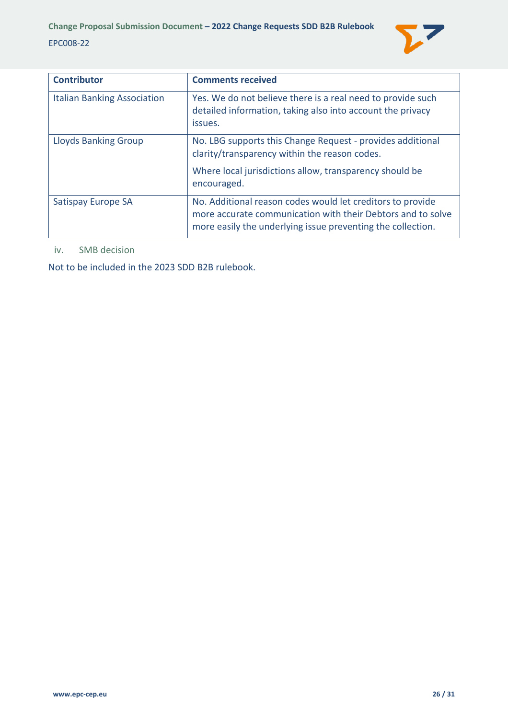

| <b>Contributor</b>                 | <b>Comments received</b>                                                                                                                                                                 |
|------------------------------------|------------------------------------------------------------------------------------------------------------------------------------------------------------------------------------------|
| <b>Italian Banking Association</b> | Yes. We do not believe there is a real need to provide such<br>detailed information, taking also into account the privacy<br>issues.                                                     |
| <b>Lloyds Banking Group</b>        | No. LBG supports this Change Request - provides additional<br>clarity/transparency within the reason codes.                                                                              |
|                                    | Where local jurisdictions allow, transparency should be<br>encouraged.                                                                                                                   |
| Satispay Europe SA                 | No. Additional reason codes would let creditors to provide<br>more accurate communication with their Debtors and to solve<br>more easily the underlying issue preventing the collection. |

<span id="page-25-0"></span>iv. SMB decision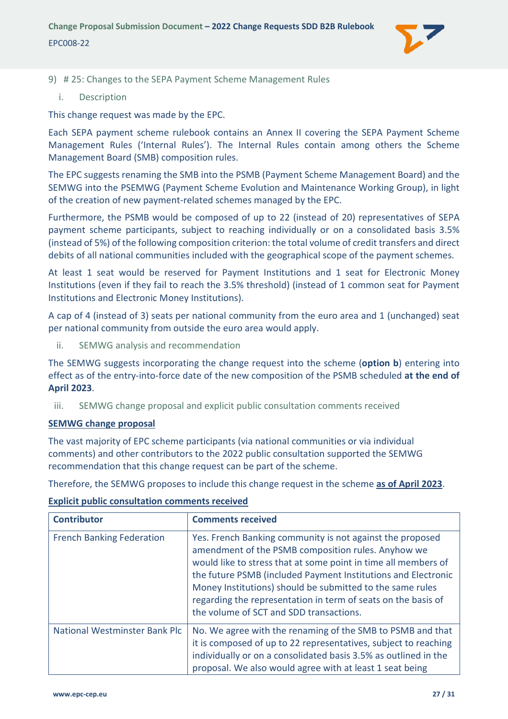

#### <span id="page-26-0"></span>9) # 25: Changes to the SEPA Payment Scheme Management Rules

<span id="page-26-1"></span>i. Description

This change request was made by the EPC.

Each SEPA payment scheme rulebook contains an Annex II covering the SEPA Payment Scheme Management Rules ('Internal Rules'). The Internal Rules contain among others the Scheme Management Board (SMB) composition rules.

The EPC suggests renaming the SMB into the PSMB (Payment Scheme Management Board) and the SEMWG into the PSEMWG (Payment Scheme Evolution and Maintenance Working Group), in light of the creation of new payment-related schemes managed by the EPC.

Furthermore, the PSMB would be composed of up to 22 (instead of 20) representatives of SEPA payment scheme participants, subject to reaching individually or on a consolidated basis 3.5% (instead of 5%) of the following composition criterion: the total volume of credit transfers and direct debits of all national communities included with the geographical scope of the payment schemes.

At least 1 seat would be reserved for Payment Institutions and 1 seat for Electronic Money Institutions (even if they fail to reach the 3.5% threshold) (instead of 1 common seat for Payment Institutions and Electronic Money Institutions).

A cap of 4 (instead of 3) seats per national community from the euro area and 1 (unchanged) seat per national community from outside the euro area would apply.

<span id="page-26-2"></span>ii. SEMWG analysis and recommendation

The SEMWG suggests incorporating the change request into the scheme (**option b**) entering into effect as of the entry-into-force date of the new composition of the PSMB scheduled **at the end of April 2023**.

<span id="page-26-3"></span>iii. SEMWG change proposal and explicit public consultation comments received

#### **SEMWG change proposal**

The vast majority of EPC scheme participants (via national communities or via individual comments) and other contributors to the 2022 public consultation supported the SEMWG recommendation that this change request can be part of the scheme.

Therefore, the SEMWG proposes to include this change request in the scheme **as of April 2023**.

#### **Explicit public consultation comments received**

| <b>Contributor</b>               | <b>Comments received</b>                                                                                                                                                                                                                                                                                                                                                                                                    |
|----------------------------------|-----------------------------------------------------------------------------------------------------------------------------------------------------------------------------------------------------------------------------------------------------------------------------------------------------------------------------------------------------------------------------------------------------------------------------|
| <b>French Banking Federation</b> | Yes. French Banking community is not against the proposed<br>amendment of the PSMB composition rules. Anyhow we<br>would like to stress that at some point in time all members of<br>the future PSMB (included Payment Institutions and Electronic<br>Money Institutions) should be submitted to the same rules<br>regarding the representation in term of seats on the basis of<br>the volume of SCT and SDD transactions. |
| National Westminster Bank Plc    | No. We agree with the renaming of the SMB to PSMB and that<br>it is composed of up to 22 representatives, subject to reaching<br>individually or on a consolidated basis 3.5% as outlined in the<br>proposal. We also would agree with at least 1 seat being                                                                                                                                                                |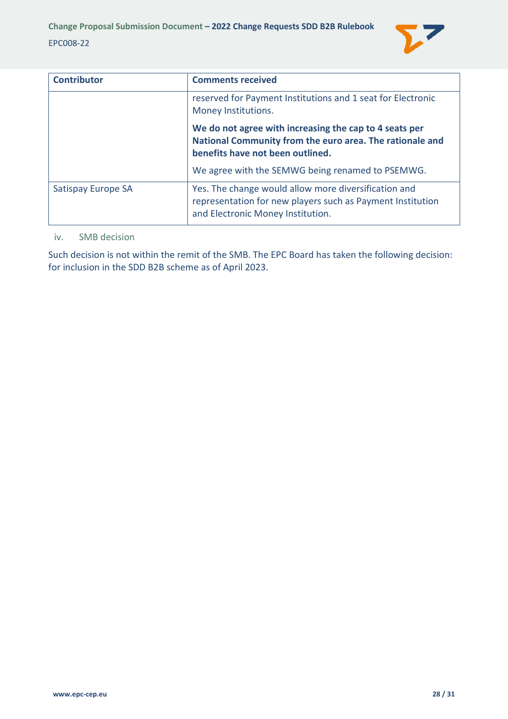

| <b>Contributor</b> | <b>Comments received</b>                                                                                                                                |
|--------------------|---------------------------------------------------------------------------------------------------------------------------------------------------------|
|                    | reserved for Payment Institutions and 1 seat for Electronic<br>Money Institutions.                                                                      |
|                    | We do not agree with increasing the cap to 4 seats per<br>National Community from the euro area. The rationale and<br>benefits have not been outlined.  |
|                    | We agree with the SEMWG being renamed to PSEMWG.                                                                                                        |
| Satispay Europe SA | Yes. The change would allow more diversification and<br>representation for new players such as Payment Institution<br>and Electronic Money Institution. |

#### <span id="page-27-0"></span>iv. SMB decision

Such decision is not within the remit of the SMB. The EPC Board has taken the following decision: for inclusion in the SDD B2B scheme as of April 2023.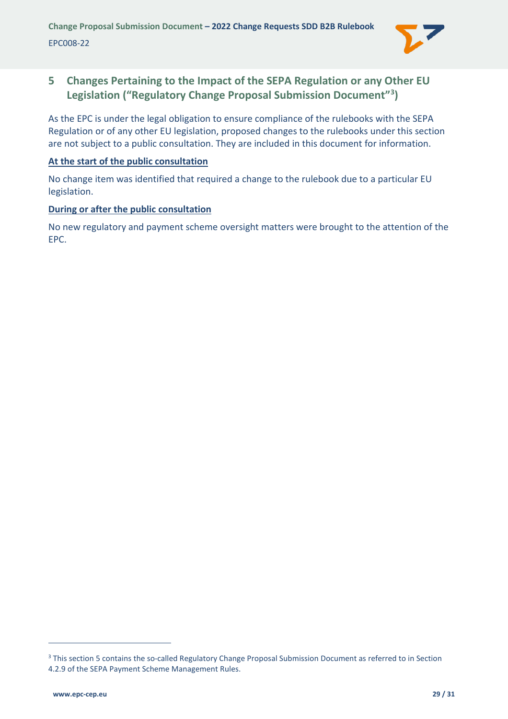

# <span id="page-28-0"></span>**5 Changes Pertaining to the Impact of the SEPA Regulation or any Other EU Legislation ("Regulatory Change Proposal Submission Document"[3](#page-28-1) )**

As the EPC is under the legal obligation to ensure compliance of the rulebooks with the SEPA Regulation or of any other EU legislation, proposed changes to the rulebooks under this section are not subject to a public consultation. They are included in this document for information.

#### **At the start of the public consultation**

No change item was identified that required a change to the rulebook due to a particular EU legislation.

#### **During or after the public consultation**

No new regulatory and payment scheme oversight matters were brought to the attention of the EPC.

<span id="page-28-1"></span><sup>&</sup>lt;sup>3</sup> This section 5 contains the so-called Regulatory Change Proposal Submission Document as referred to in Section 4.2.9 of the SEPA Payment Scheme Management Rules.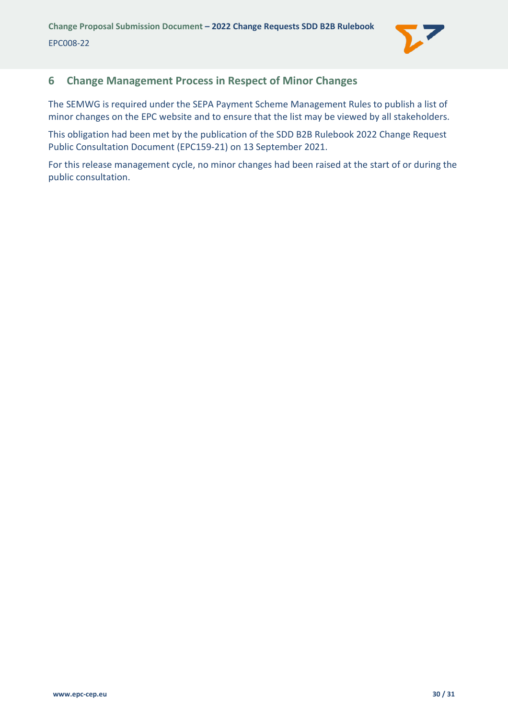

# <span id="page-29-0"></span>**6 Change Management Process in Respect of Minor Changes**

The SEMWG is required under the SEPA Payment Scheme Management Rules to publish a list of minor changes on the EPC website and to ensure that the list may be viewed by all stakeholders.

This obligation had been met by the publication of the SDD B2B Rulebook 2022 Change Request Public Consultation Document (EPC159-21) on 13 September 2021.

For this release management cycle, no minor changes had been raised at the start of or during the public consultation.